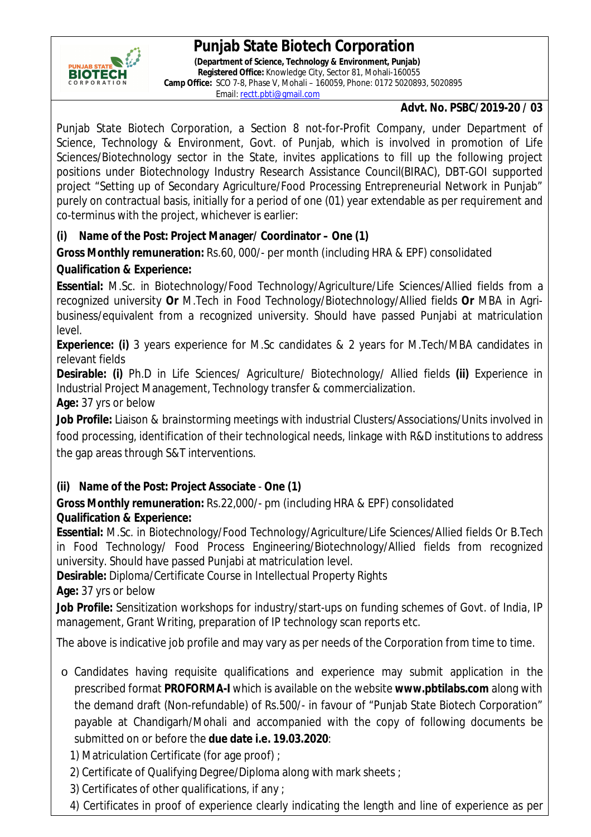# **Punjab State Biotech Corporation**



 **(Department of Science, Technology & Environment, Punjab) Registered Office:** Knowledge City, Sector 81, Mohali-160055  **Camp Office:** SCO 7-8, Phase V, Mohali – 160059, Phone: 0172 5020893, 5020895 Email: rectt.pbti@gmail.com

#### **Advt. No. PSBC/2019-20 / 03**

Punjab State Biotech Corporation, a Section 8 not-for-Profit Company, under Department of Science, Technology & Environment, Govt. of Punjab, which is involved in promotion of Life Sciences/Biotechnology sector in the State, invites applications to fill up the following project positions under Biotechnology Industry Research Assistance Council(BIRAC), DBT-GOI supported project "Setting up of Secondary Agriculture/Food Processing Entrepreneurial Network in Punjab" purely on contractual basis, initially for a period of one (01) year extendable as per requirement and co-terminus with the project, whichever is earlier:

### **(i) Name of the Post: Project Manager/ Coordinator – One (1)**

**Gross Monthly remuneration:** Rs.60, 000/- per month (including HRA & EPF) consolidated

### **Qualification & Experience:**

**Essential:** M.Sc. in Biotechnology/Food Technology/Agriculture/Life Sciences/Allied fields from a recognized university **Or** M.Tech in Food Technology/Biotechnology/Allied fields **Or** MBA in Agribusiness/equivalent from a recognized university. Should have passed Punjabi at matriculation level.

**Experience: (i)** 3 years experience for M.Sc candidates & 2 years for M.Tech/MBA candidates in relevant fields

**Desirable: (i)** Ph.D in Life Sciences/ Agriculture/ Biotechnology/ Allied fields **(ii)** Experience in Industrial Project Management, Technology transfer & commercialization. **Age:** 37 yrs or below

**Job Profile:** Liaison & brainstorming meetings with industrial Clusters/Associations/Units involved in food processing, identification of their technological needs, linkage with R&D institutions to address the gap areas through S&T interventions.

## **(ii) Name of the Post: Project Associate** - **One (1)**

**Gross Monthly remuneration:** Rs.22,000/- pm (including HRA & EPF) consolidated **Qualification & Experience:** 

**Essential:** M.Sc. in Biotechnology/Food Technology/Agriculture/Life Sciences/Allied fields Or B.Tech in Food Technology/ Food Process Engineering/Biotechnology/Allied fields from recognized university. Should have passed Punjabi at matriculation level.

**Desirable:** Diploma/Certificate Course in Intellectual Property Rights **Age:** 37 yrs or below

**Job Profile:** Sensitization workshops for industry/start-ups on funding schemes of Govt. of India, IP management, Grant Writing, preparation of IP technology scan reports etc.

The above is indicative job profile and may vary as per needs of the Corporation from time to time.

o Candidates having requisite qualifications and experience may submit application in the prescribed format **PROFORMA-I** which is available on the website **www.pbtilabs.com** along with the demand draft (Non-refundable) of Rs.500/- in favour of "Punjab State Biotech Corporation" payable at Chandigarh/Mohali and accompanied with the copy of following documents be submitted on or before the **due date i.e. 19.03.2020**:

1) Matriculation Certificate (for age proof) ;

- 2) Certificate of Qualifying Degree/Diploma along with mark sheets ;
- 3) Certificates of other qualifications, if any ;
- 4) Certificates in proof of experience clearly indicating the length and line of experience as per